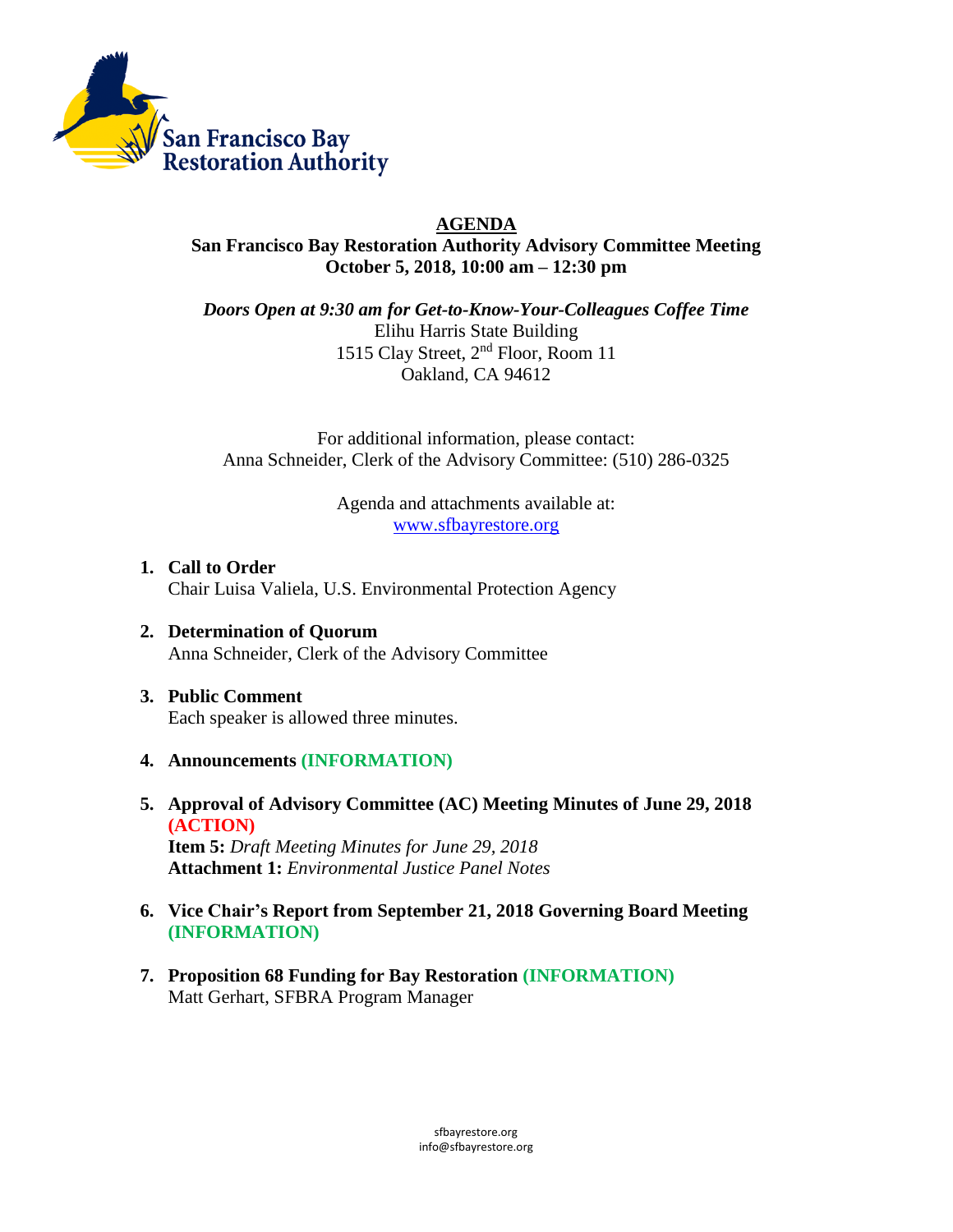

## **AGENDA**

**San Francisco Bay Restoration Authority Advisory Committee Meeting October 5, 2018, 10:00 am – 12:30 pm**

*Doors Open at 9:30 am for Get-to-Know-Your-Colleagues Coffee Time* Elihu Harris State Building 1515 Clay Street, 2nd Floor, Room 11 Oakland, CA 94612

For additional information, please contact: Anna Schneider, Clerk of the Advisory Committee: (510) 286-0325

> Agenda and attachments available at: [www.sfbayrestore.org](http://www.sfbayrestore.org/)

- **1. Call to Order**  Chair Luisa Valiela, U.S. Environmental Protection Agency
- **2. Determination of Quorum** Anna Schneider, Clerk of the Advisory Committee
- **3. Public Comment** Each speaker is allowed three minutes.
- **4. Announcements (INFORMATION)**
- **5. Approval of Advisory Committee (AC) Meeting Minutes of June 29, 2018 (ACTION)**

**Item 5:** *Draft Meeting Minutes for June 29, 2018* **Attachment 1:** *Environmental Justice Panel Notes*

- **6. Vice Chair's Report from September 21, 2018 Governing Board Meeting (INFORMATION)**
- **7. Proposition 68 Funding for Bay Restoration (INFORMATION)** Matt Gerhart, SFBRA Program Manager

sfbayrestore.org [info@sfbayrestore.org](mailto:info@sfbayrestore.org)